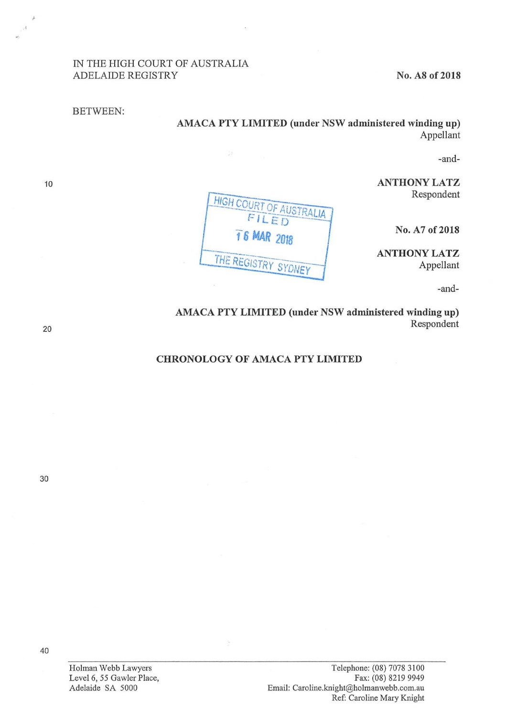## IN THE HIGH COURT OF AUSTRALIA ADELAIDE REGISTRY No. A8 of 2018

BETWEEN:

AMACA PTY LIMITED (under NSW administered winding up) Appellant

-and—

ANTHONY LATZ Respondent

No. A7 of 2018

ANTHONY LATZ Appellant

-and-

AMACA PTY LIMITED (under NSW administered winding up) Respondent

## CHRONOLOGY OF AMACA PTY LIMITED

AUST OF AUST

THE REGISTRY SYDNEY

 $\tilde{\mathcal{G}}^{\mathcal{R}}$ 

FILED

10



30

Holman Webb Lawyers Level 6, 55 Gawler Place, Adelaide SA 5000

40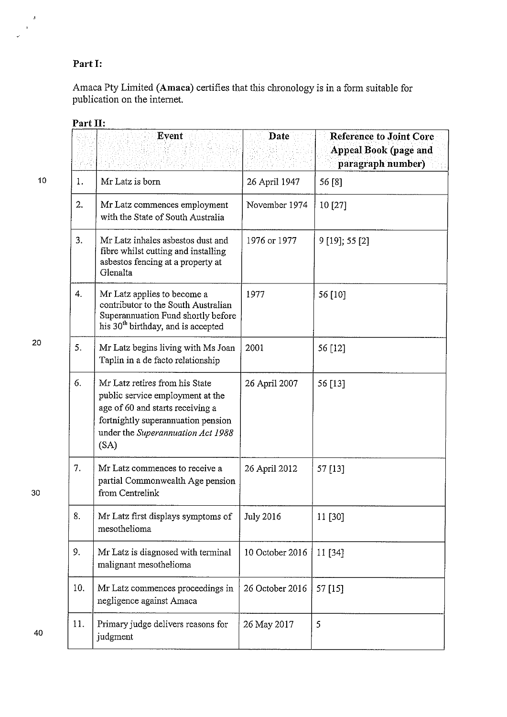## Part I:

Amaca Pty Limited (Amaca) certifies that this chronology is in <sup>a</sup> form suitable for publication on the intemet.

|     | Event                                                                                                                                                                                     | Date             | <b>Reference to Joint Core</b><br>Appeal Book (page and<br>paragraph number) |
|-----|-------------------------------------------------------------------------------------------------------------------------------------------------------------------------------------------|------------------|------------------------------------------------------------------------------|
| 1.  | Mr Latz is born                                                                                                                                                                           | 26 April 1947    | 56 [8]                                                                       |
| 2.  | Mr Latz commences employment<br>with the State of South Australia                                                                                                                         | November 1974    | 10 [27]                                                                      |
| 3.  | Mr Latz inhales asbestos dust and<br>fibre whilst cutting and installing<br>asbestos fencing at a property at<br>Glenalta                                                                 | 1976 or 1977     | $9$ [19]; 55 [2]                                                             |
| 4.  | Mr Latz applies to become a<br>contributor to the South Australian<br>Superannuation Fund shortly before<br>his 30 <sup>th</sup> birthday, and is accepted                                | 1977             | 56 [10]                                                                      |
| 5.  | Mr Latz begins living with Ms Joan<br>Taplin in a de facto relationship                                                                                                                   | 2001             | 56 [12]                                                                      |
| 6.  | Mr Latz retires from his State<br>public service employment at the<br>age of 60 and starts receiving a<br>fortnightly superannuation pension<br>under the Superannuation Act 1988<br>(SA) | 26 April 2007    | 56 [13]                                                                      |
| 7.  | Mr Latz commences to receive a<br>partial Commonwealth Age pension<br>from Centrelink                                                                                                     | 26 April 2012    | 57 [13]                                                                      |
| 8.  | Mr Latz first displays symptoms of<br>mesothelioma                                                                                                                                        | <b>July 2016</b> | 11 [30]                                                                      |
| 9.  | Mr Latz is diagnosed with terminal<br>malignant mesothelioma                                                                                                                              | 10 October 2016  | 11 [34]                                                                      |
| 10. | Mr Latz commences proceedings in<br>negligence against Amaca                                                                                                                              | 26 October 2016  | 57 [15]                                                                      |
| 11. | Primary judge delivers reasons for<br>judgment                                                                                                                                            | 26 May 2017      | 5                                                                            |

Part II:

20

10

 $\overline{\mathbf{z}}$  $\ddot{\phantom{0}}$ 

30